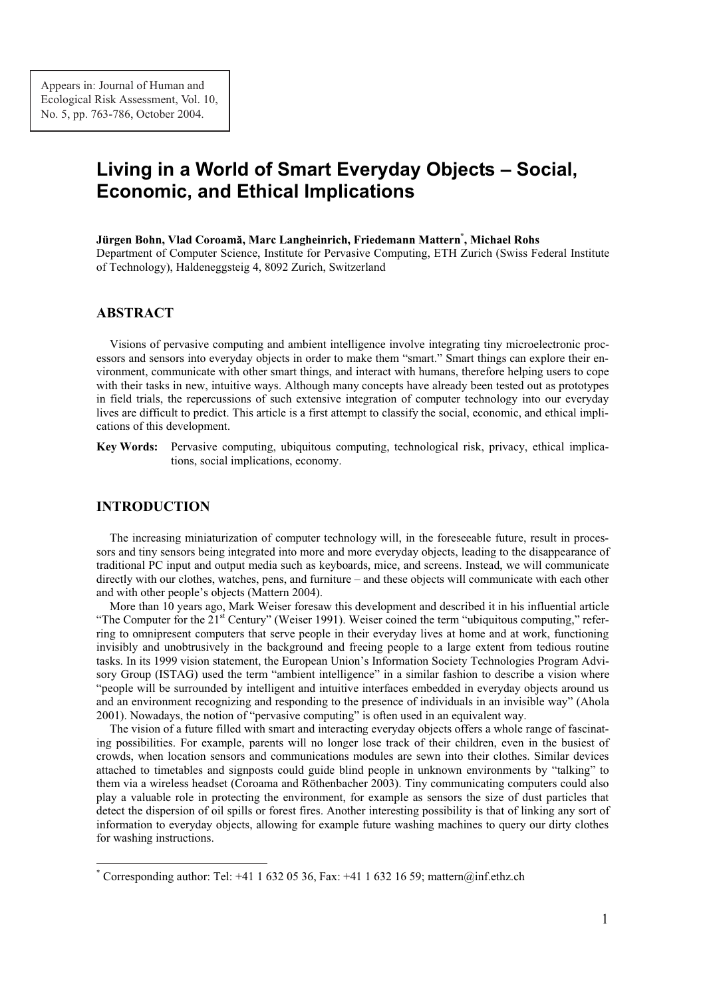Appears in: Journal of Human and Ecological Risk Assessment, Vol. 10, No. 5, pp. 763-786, October 2004.

# Living in a World of Smart Everyday Objects - Social, **Economic, and Ethical Implications**

Jürgen Bohn, Vlad Coroamă, Marc Langheinrich, Friedemann Mattern<sup>\*</sup>, Michael Rohs

Department of Computer Science, Institute for Pervasive Computing, ETH Zurich (Swiss Federal Institute of Technology), Haldeneggsteig 4, 8092 Zurich, Switzerland

# $ABSTRACT$

Visions of pervasive computing and ambient intelligence involve integrating tiny microelectronic processors and sensors into everyday objects in order to make them "smart." Smart things can explore their environment, communicate with other smart things, and interact with humans, therefore helping users to cope with their tasks in new, intuitive ways. Although many concepts have already been tested out as prototypes in field trials, the repercussions of such extensive integration of computer technology into our everyday lives are difficult to predict. This article is a first attempt to classify the social, economic, and ethical implications of this development.

Key Words: Pervasive computing, ubiquitous computing, technological risk, privacy, ethical implications, social implications, economy.

# **INTRODUCTION**

The increasing miniaturization of computer technology will, in the foreseeable future, result in processors and tiny sensors being integrated into more and more everyday objects, leading to the disappearance of traditional PC input and output media such as keyboards, mice, and screens. Instead, we will communicate directly with our clothes, watches, pens, and furniture – and these objects will communicate with each other and with other people's objects (Mattern 2004).

More than 10 years ago, Mark Weiser foresaw this development and described it in his influential article "The Computer for the  $21<sup>st</sup>$  Century" (Weiser 1991). Weiser coined the term "ubiquitous computing," referring to omnipresent computers that serve people in their everyday lives at home and at work, functioning invisibly and unobtrusively in the background and freeing people to a large extent from tedious routine tasks. In its 1999 vision statement, the European Union's Information Society Technologies Program Advisory Group (ISTAG) used the term "ambient intelligence" in a similar fashion to describe a vision where "people will be surrounded by intelligent and intuitive interfaces embedded in everyday objects around us and an environment recognizing and responding to the presence of individuals in an invisible way" (Ahola 2001). Nowadays, the notion of "pervasive computing" is often used in an equivalent way.

The vision of a future filled with smart and interacting everyday objects offers a whole range of fascinating possibilities. For example, parents will no longer lose track of their children, even in the busiest of crowds, when location sensors and communications modules are sewn into their clothes. Similar devices attached to timetables and signposts could guide blind people in unknown environments by "talking" to them via a wireless headset (Coroama and Röthenbacher 2003). Tiny communicating computers could also play a valuable role in protecting the environment, for example as sensors the size of dust particles that detect the dispersion of oil spills or forest fires. Another interesting possibility is that of linking any sort of information to everyday objects, allowing for example future washing machines to query our dirty clothes for washing instructions.

<sup>\*</sup> Corresponding author: Tel: +41 1 632 05 36, Fax: +41 1 632 16 59; mattern@inf.ethz.ch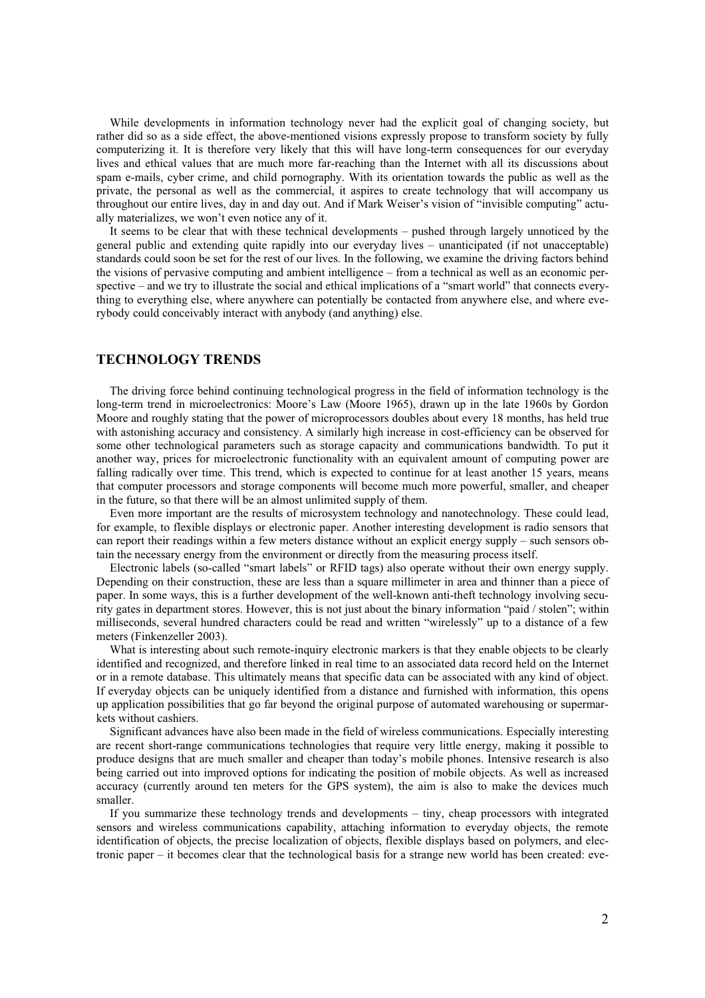While developments in information technology never had the explicit goal of changing society, but rather did so as a side effect, the above-mentioned visions expressly propose to transform society by fully computerizing it. It is therefore very likely that this will have long-term consequences for our everyday lives and ethical values that are much more far-reaching than the Internet with all its discussions about spam e-mails, cyber crime, and child pornography. With its orientation towards the public as well as the private, the personal as well as the commercial, it aspires to create technology that will accompany us throughout our entire lives, day in and day out. And if Mark Weiser's vision of "invisible computing" actually materializes, we won't even notice any of it.

It seems to be clear that with these technical developments – pushed through largely unnoticed by the general public and extending quite rapidly into our everyday lives – unanticipated (if not unacceptable) standards could soon be set for the rest of our lives. In the following, we examine the driving factors behind the visions of pervasive computing and ambient intelligence – from a technical as well as an economic perspective – and we try to illustrate the social and ethical implications of a "smart world" that connects everything to everything else, where anywhere can potentially be contacted from anywhere else, and where everybody could conceivably interact with anybody (and anything) else.

## **TECHNOLOGY TRENDS**

The driving force behind continuing technological progress in the field of information technology is the long-term trend in microelectronics: Moore's Law (Moore 1965), drawn up in the late 1960s by Gordon Moore and roughly stating that the power of microprocessors doubles about every 18 months, has held true with astonishing accuracy and consistency. A similarly high increase in cost-efficiency can be observed for some other technological parameters such as storage capacity and communications bandwidth. To put it another way, prices for microelectronic functionality with an equivalent amount of computing power are falling radically over time. This trend, which is expected to continue for at least another 15 years, means that computer processors and storage components will become much more powerful, smaller, and cheaper in the future, so that there will be an almost unlimited supply of them.

Even more important are the results of microsystem technology and nanotechnology. These could lead, for example, to flexible displays or electronic paper. Another interesting development is radio sensors that can report their readings within a few meters distance without an explicit energy supply – such sensors obtain the necessary energy from the environment or directly from the measuring process itself.

Electronic labels (so-called "smart labels" or RFID tags) also operate without their own energy supply. Depending on their construction, these are less than a square millimeter in area and thinner than a piece of paper. In some ways, this is a further development of the well-known anti-theft technology involving security gates in department stores. However, this is not just about the binary information "paid / stolen"; within milliseconds, several hundred characters could be read and written "wirelessly" up to a distance of a few meters (Finkenzeller 2003).

What is interesting about such remote-inquiry electronic markers is that they enable objects to be clearly identified and recognized, and therefore linked in real time to an associated data record held on the Internet or in a remote database. This ultimately means that specific data can be associated with any kind of object. If everyday objects can be uniquely identified from a distance and furnished with information, this opens up application possibilities that go far beyond the original purpose of automated warehousing or supermarkets without cashiers.

Significant advances have also been made in the field of wireless communications. Especially interesting are recent short-range communications technologies that require very little energy, making it possible to produce designs that are much smaller and cheaper than today's mobile phones. Intensive research is also being carried out into improved options for indicating the position of mobile objects. As well as increased accuracy (currently around ten meters for the GPS system), the aim is also to make the devices much smaller.

If you summarize these technology trends and developments – tiny, cheap processors with integrated sensors and wireless communications capability, attaching information to everyday objects, the remote identification of objects, the precise localization of objects, flexible displays based on polymers, and electronic paper – it becomes clear that the technological basis for a strange new world has been created: eve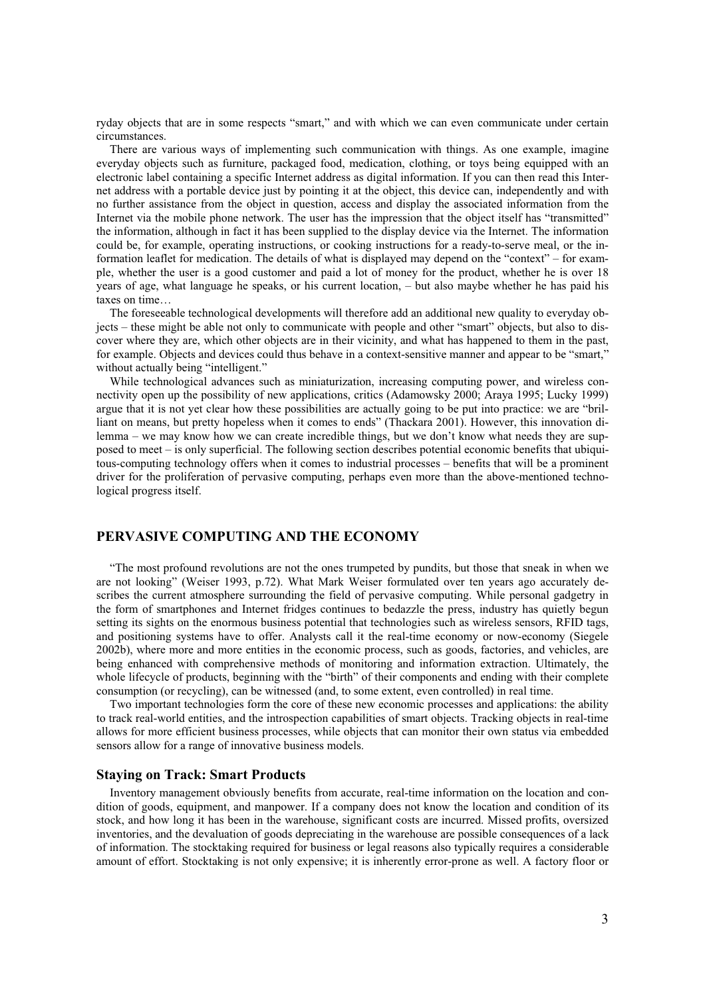ryday objects that are in some respects "smart," and with which we can even communicate under certain circumstances.

There are various ways of implementing such communication with things. As one example, imagine everyday objects such as furniture, packaged food, medication, clothing, or toys being equipped with an electronic label containing a specific Internet address as digital information. If you can then read this Internet address with a portable device just by pointing it at the object, this device can, independently and with no further assistance from the object in question, access and display the associated information from the Internet via the mobile phone network. The user has the impression that the object itself has "transmitted" the information, although in fact it has been supplied to the display device via the Internet. The information could be, for example, operating instructions, or cooking instructions for a ready-to-serve meal, or the information leaflet for medication. The details of what is displayed may depend on the "context" – for example, whether the user is a good customer and paid a lot of money for the product, whether he is over 18 years of age, what language he speaks, or his current location, – but also maybe whether he has paid his taxes on time…

The foreseeable technological developments will therefore add an additional new quality to everyday objects – these might be able not only to communicate with people and other "smart" objects, but also to discover where they are, which other objects are in their vicinity, and what has happened to them in the past, for example. Objects and devices could thus behave in a context-sensitive manner and appear to be "smart," without actually being "intelligent."

While technological advances such as miniaturization, increasing computing power, and wireless connectivity open up the possibility of new applications, critics (Adamowsky 2000; Araya 1995; Lucky 1999) argue that it is not yet clear how these possibilities are actually going to be put into practice: we are "brilliant on means, but pretty hopeless when it comes to ends" (Thackara 2001). However, this innovation dilemma – we may know how we can create incredible things, but we don't know what needs they are supposed to meet – is only superficial. The following section describes potential economic benefits that ubiquitous-computing technology offers when it comes to industrial processes – benefits that will be a prominent driver for the proliferation of pervasive computing, perhaps even more than the above-mentioned technological progress itself.

## **PERVASIVE COMPUTING AND THE ECONOMY**

"The most profound revolutions are not the ones trumpeted by pundits, but those that sneak in when we are not looking" (Weiser 1993, p.72). What Mark Weiser formulated over ten years ago accurately describes the current atmosphere surrounding the field of pervasive computing. While personal gadgetry in the form of smartphones and Internet fridges continues to bedazzle the press, industry has quietly begun setting its sights on the enormous business potential that technologies such as wireless sensors, RFID tags, and positioning systems have to offer. Analysts call it the real-time economy or now-economy (Siegele 2002b), where more and more entities in the economic process, such as goods, factories, and vehicles, are being enhanced with comprehensive methods of monitoring and information extraction. Ultimately, the whole lifecycle of products, beginning with the "birth" of their components and ending with their complete consumption (or recycling), can be witnessed (and, to some extent, even controlled) in real time.

Two important technologies form the core of these new economic processes and applications: the ability to track real-world entities, and the introspection capabilities of smart objects. Tracking objects in real-time allows for more efficient business processes, while objects that can monitor their own status via embedded sensors allow for a range of innovative business models.

### **Staying on Track: Smart Products**

Inventory management obviously benefits from accurate, real-time information on the location and condition of goods, equipment, and manpower. If a company does not know the location and condition of its stock, and how long it has been in the warehouse, significant costs are incurred. Missed profits, oversized inventories, and the devaluation of goods depreciating in the warehouse are possible consequences of a lack of information. The stocktaking required for business or legal reasons also typically requires a considerable amount of effort. Stocktaking is not only expensive; it is inherently error-prone as well. A factory floor or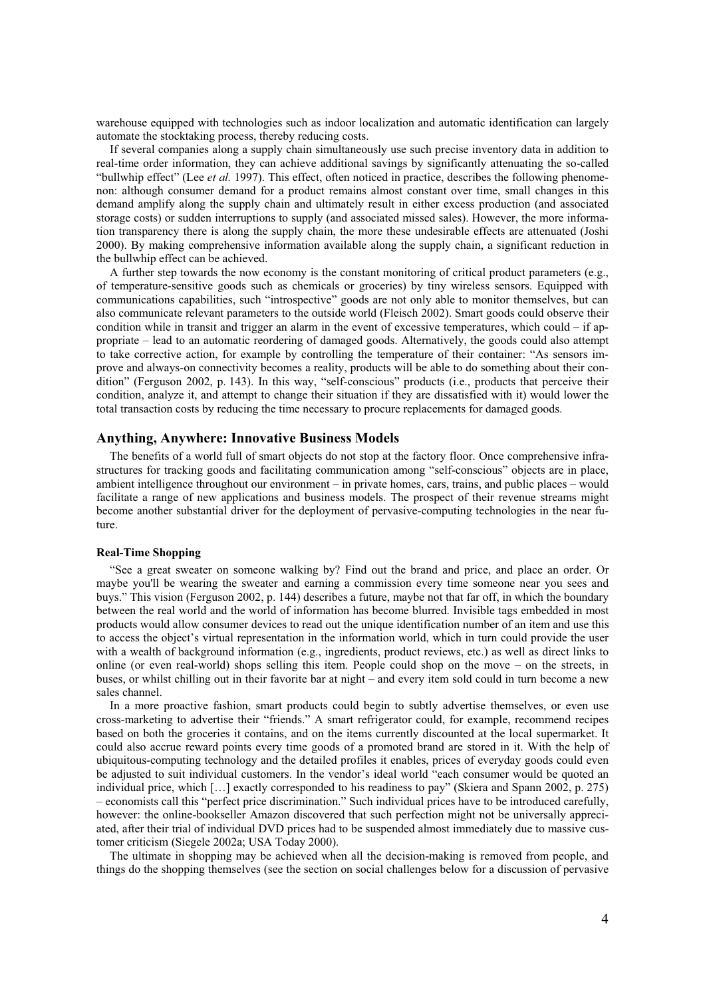warehouse equipped with technologies such as indoor localization and automatic identification can largely automate the stocktaking process, thereby reducing costs.

If several companies along a supply chain simultaneously use such precise inventory data in addition to real-time order information, they can achieve additional savings by significantly attenuating the so-called "bullwhip effect" (Lee *et al.* 1997). This effect, often noticed in practice, describes the following phenomenon: although consumer demand for a product remains almost constant over time, small changes in this demand amplify along the supply chain and ultimately result in either excess production (and associated storage costs) or sudden interruptions to supply (and associated missed sales). However, the more information transparency there is along the supply chain, the more these undesirable effects are attenuated (Joshi 2000). By making comprehensive information available along the supply chain, a significant reduction in the bullwhip effect can be achieved.

A further step towards the now economy is the constant monitoring of critical product parameters (e.g., of temperature-sensitive goods such as chemicals or groceries) by tiny wireless sensors. Equipped with communications capabilities, such "introspective" goods are not only able to monitor themselves, but can also communicate relevant parameters to the outside world (Fleisch 2002). Smart goods could observe their condition while in transit and trigger an alarm in the event of excessive temperatures, which could  $-$  if appropriate – lead to an automatic reordering of damaged goods. Alternatively, the goods could also attempt to take corrective action, for example by controlling the temperature of their container: "As sensors improve and always-on connectivity becomes a reality, products will be able to do something about their condition" (Ferguson 2002, p. 143). In this way, "self-conscious" products (i.e., products that perceive their condition, analyze it, and attempt to change their situation if they are dissatisfied with it) would lower the total transaction costs by reducing the time necessary to procure replacements for damaged goods.

#### **Anything, Anywhere: Innovative Business Models**

The benefits of a world full of smart objects do not stop at the factory floor. Once comprehensive infrastructures for tracking goods and facilitating communication among "self-conscious" objects are in place, ambient intelligence throughout our environment – in private homes, cars, trains, and public places – would facilitate a range of new applications and business models. The prospect of their revenue streams might become another substantial driver for the deployment of pervasive-computing technologies in the near future.

#### **Real-Time Shopping**

"See a great sweater on someone walking by? Find out the brand and price, and place an order. Or maybe you'll be wearing the sweater and earning a commission every time someone near you sees and buys." This vision (Ferguson 2002, p. 144) describes a future, maybe not that far off, in which the boundary between the real world and the world of information has become blurred. Invisible tags embedded in most products would allow consumer devices to read out the unique identification number of an item and use this to access the object's virtual representation in the information world, which in turn could provide the user with a wealth of background information (e.g., ingredients, product reviews, etc.) as well as direct links to online (or even real-world) shops selling this item. People could shop on the move – on the streets, in buses, or whilst chilling out in their favorite bar at night – and every item sold could in turn become a new sales channel.

In a more proactive fashion, smart products could begin to subtly advertise themselves, or even use cross-marketing to advertise their "friends." A smart refrigerator could, for example, recommend recipes based on both the groceries it contains, and on the items currently discounted at the local supermarket. It could also accrue reward points every time goods of a promoted brand are stored in it. With the help of ubiquitous-computing technology and the detailed profiles it enables, prices of everyday goods could even be adjusted to suit individual customers. In the vendor's ideal world "each consumer would be quoted an individual price, which […] exactly corresponded to his readiness to pay" (Skiera and Spann 2002, p. 275) – economists call this "perfect price discrimination." Such individual prices have to be introduced carefully, however: the online-bookseller Amazon discovered that such perfection might not be universally appreciated, after their trial of individual DVD prices had to be suspended almost immediately due to massive customer criticism (Siegele 2002a; USA Today 2000).

The ultimate in shopping may be achieved when all the decision-making is removed from people, and things do the shopping themselves (see the section on social challenges below for a discussion of pervasive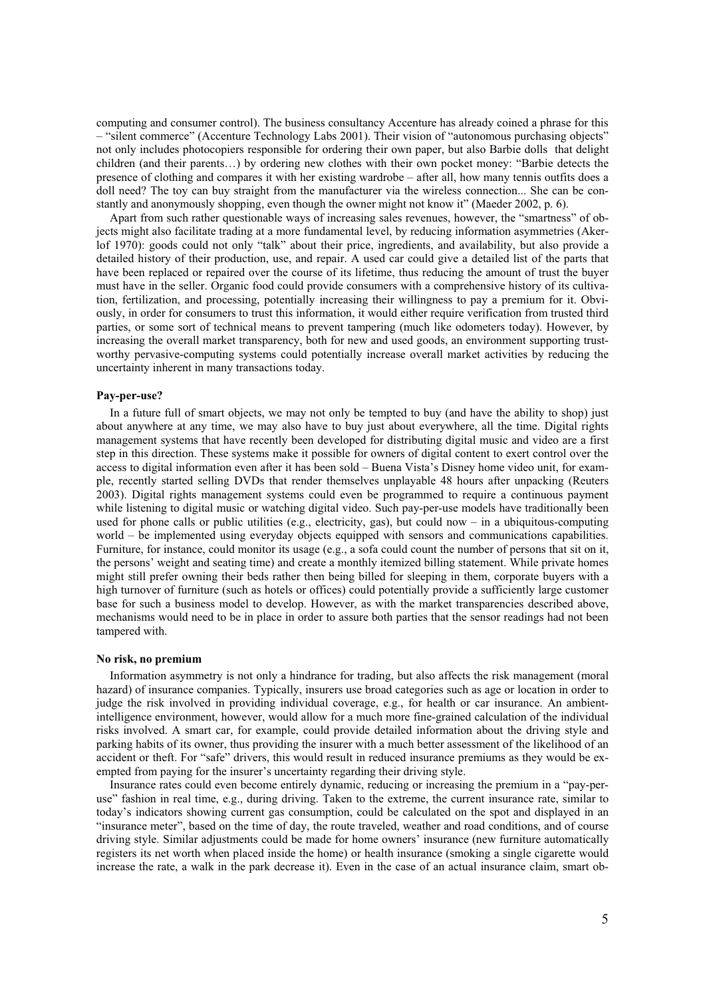computing and consumer control). The business consultancy Accenture has already coined a phrase for this – "silent commerce" (Accenture Technology Labs 2001). Their vision of "autonomous purchasing objects" not only includes photocopiers responsible for ordering their own paper, but also Barbie dolls that delight children (and their parents…) by ordering new clothes with their own pocket money: "Barbie detects the presence of clothing and compares it with her existing wardrobe – after all, how many tennis outfits does a doll need? The toy can buy straight from the manufacturer via the wireless connection... She can be constantly and anonymously shopping, even though the owner might not know it" (Maeder 2002, p. 6).

Apart from such rather questionable ways of increasing sales revenues, however, the "smartness" of objects might also facilitate trading at a more fundamental level, by reducing information asymmetries (Akerlof 1970): goods could not only "talk" about their price, ingredients, and availability, but also provide a detailed history of their production, use, and repair. A used car could give a detailed list of the parts that have been replaced or repaired over the course of its lifetime, thus reducing the amount of trust the buyer must have in the seller. Organic food could provide consumers with a comprehensive history of its cultivation, fertilization, and processing, potentially increasing their willingness to pay a premium for it. Obviously, in order for consumers to trust this information, it would either require verification from trusted third parties, or some sort of technical means to prevent tampering (much like odometers today). However, by increasing the overall market transparency, both for new and used goods, an environment supporting trustworthy pervasive-computing systems could potentially increase overall market activities by reducing the uncertainty inherent in many transactions today.

## **Pay-per-use?**

In a future full of smart objects, we may not only be tempted to buy (and have the ability to shop) just about anywhere at any time, we may also have to buy just about everywhere, all the time. Digital rights management systems that have recently been developed for distributing digital music and video are a first step in this direction. These systems make it possible for owners of digital content to exert control over the access to digital information even after it has been sold – Buena Vista's Disney home video unit, for example, recently started selling DVDs that render themselves unplayable 48 hours after unpacking (Reuters 2003). Digital rights management systems could even be programmed to require a continuous payment while listening to digital music or watching digital video. Such pay-per-use models have traditionally been used for phone calls or public utilities (e.g., electricity, gas), but could now – in a ubiquitous-computing world – be implemented using everyday objects equipped with sensors and communications capabilities. Furniture, for instance, could monitor its usage (e.g., a sofa could count the number of persons that sit on it, the persons' weight and seating time) and create a monthly itemized billing statement. While private homes might still prefer owning their beds rather then being billed for sleeping in them, corporate buyers with a high turnover of furniture (such as hotels or offices) could potentially provide a sufficiently large customer base for such a business model to develop. However, as with the market transparencies described above, mechanisms would need to be in place in order to assure both parties that the sensor readings had not been tampered with.

#### **No risk, no premium**

Information asymmetry is not only a hindrance for trading, but also affects the risk management (moral hazard) of insurance companies. Typically, insurers use broad categories such as age or location in order to judge the risk involved in providing individual coverage, e.g., for health or car insurance. An ambientintelligence environment, however, would allow for a much more fine-grained calculation of the individual risks involved. A smart car, for example, could provide detailed information about the driving style and parking habits of its owner, thus providing the insurer with a much better assessment of the likelihood of an accident or theft. For "safe" drivers, this would result in reduced insurance premiums as they would be exempted from paying for the insurer's uncertainty regarding their driving style.

Insurance rates could even become entirely dynamic, reducing or increasing the premium in a "pay-peruse" fashion in real time, e.g., during driving. Taken to the extreme, the current insurance rate, similar to today's indicators showing current gas consumption, could be calculated on the spot and displayed in an "insurance meter", based on the time of day, the route traveled, weather and road conditions, and of course driving style. Similar adjustments could be made for home owners' insurance (new furniture automatically registers its net worth when placed inside the home) or health insurance (smoking a single cigarette would increase the rate, a walk in the park decrease it). Even in the case of an actual insurance claim, smart ob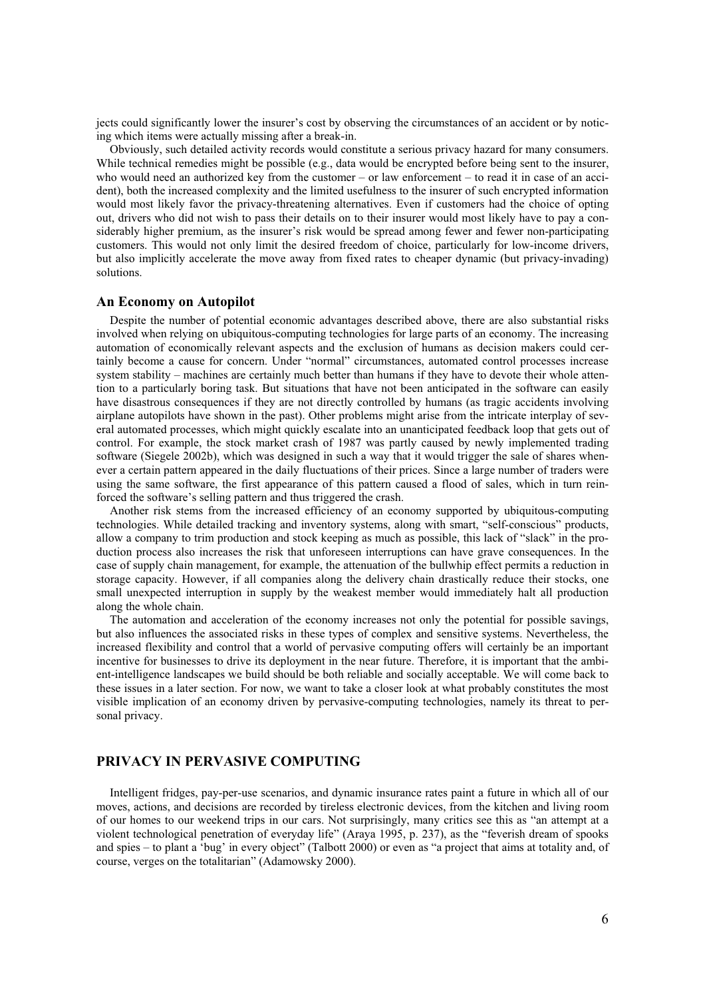jects could significantly lower the insurer's cost by observing the circumstances of an accident or by noticing which items were actually missing after a break-in.

Obviously, such detailed activity records would constitute a serious privacy hazard for many consumers. While technical remedies might be possible (e.g., data would be encrypted before being sent to the insurer, who would need an authorized key from the customer – or law enforcement – to read it in case of an accident), both the increased complexity and the limited usefulness to the insurer of such encrypted information would most likely favor the privacy-threatening alternatives. Even if customers had the choice of opting out, drivers who did not wish to pass their details on to their insurer would most likely have to pay a considerably higher premium, as the insurer's risk would be spread among fewer and fewer non-participating customers. This would not only limit the desired freedom of choice, particularly for low-income drivers, but also implicitly accelerate the move away from fixed rates to cheaper dynamic (but privacy-invading) solutions.

#### **An Economy on Autopilot**

Despite the number of potential economic advantages described above, there are also substantial risks involved when relying on ubiquitous-computing technologies for large parts of an economy. The increasing automation of economically relevant aspects and the exclusion of humans as decision makers could certainly become a cause for concern. Under "normal" circumstances, automated control processes increase system stability – machines are certainly much better than humans if they have to devote their whole attention to a particularly boring task. But situations that have not been anticipated in the software can easily have disastrous consequences if they are not directly controlled by humans (as tragic accidents involving airplane autopilots have shown in the past). Other problems might arise from the intricate interplay of several automated processes, which might quickly escalate into an unanticipated feedback loop that gets out of control. For example, the stock market crash of 1987 was partly caused by newly implemented trading software (Siegele 2002b), which was designed in such a way that it would trigger the sale of shares whenever a certain pattern appeared in the daily fluctuations of their prices. Since a large number of traders were using the same software, the first appearance of this pattern caused a flood of sales, which in turn reinforced the software's selling pattern and thus triggered the crash.

Another risk stems from the increased efficiency of an economy supported by ubiquitous-computing technologies. While detailed tracking and inventory systems, along with smart, "self-conscious" products, allow a company to trim production and stock keeping as much as possible, this lack of "slack" in the production process also increases the risk that unforeseen interruptions can have grave consequences. In the case of supply chain management, for example, the attenuation of the bullwhip effect permits a reduction in storage capacity. However, if all companies along the delivery chain drastically reduce their stocks, one small unexpected interruption in supply by the weakest member would immediately halt all production along the whole chain.

The automation and acceleration of the economy increases not only the potential for possible savings, but also influences the associated risks in these types of complex and sensitive systems. Nevertheless, the increased flexibility and control that a world of pervasive computing offers will certainly be an important incentive for businesses to drive its deployment in the near future. Therefore, it is important that the ambient-intelligence landscapes we build should be both reliable and socially acceptable. We will come back to these issues in a later section. For now, we want to take a closer look at what probably constitutes the most visible implication of an economy driven by pervasive-computing technologies, namely its threat to personal privacy.

## **PRIVACY IN PERVASIVE COMPUTING**

Intelligent fridges, pay-per-use scenarios, and dynamic insurance rates paint a future in which all of our moves, actions, and decisions are recorded by tireless electronic devices, from the kitchen and living room of our homes to our weekend trips in our cars. Not surprisingly, many critics see this as "an attempt at a violent technological penetration of everyday life" (Araya 1995, p. 237), as the "feverish dream of spooks and spies – to plant a 'bug' in every object" (Talbott 2000) or even as "a project that aims at totality and, of course, verges on the totalitarian" (Adamowsky 2000).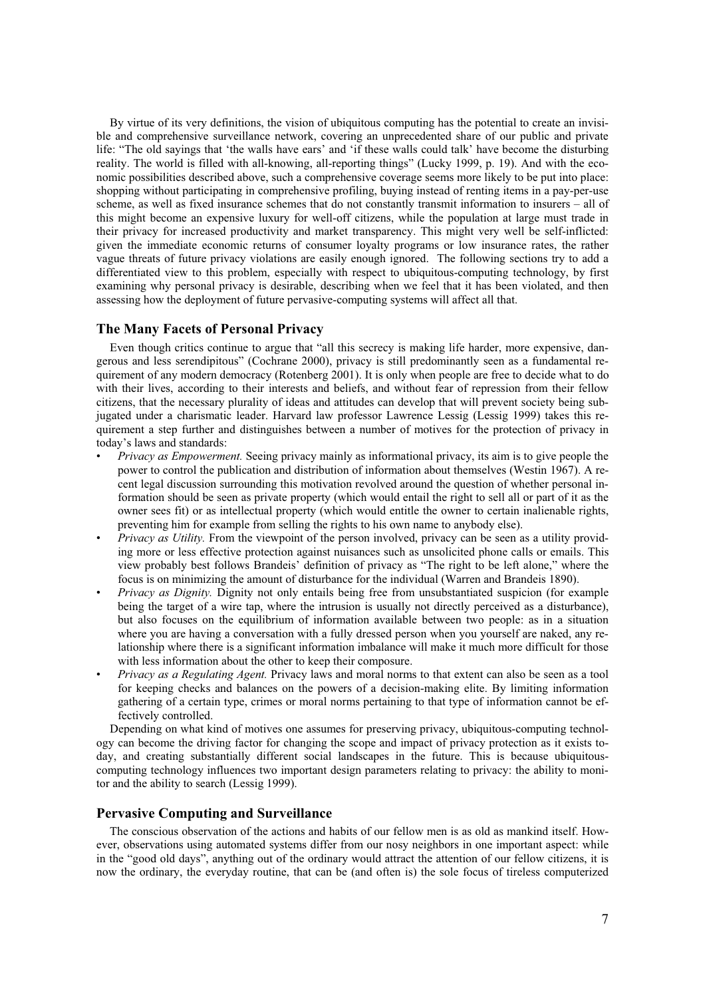By virtue of its very definitions, the vision of ubiquitous computing has the potential to create an invisible and comprehensive surveillance network, covering an unprecedented share of our public and private life: "The old sayings that 'the walls have ears' and 'if these walls could talk' have become the disturbing reality. The world is filled with all-knowing, all-reporting things" (Lucky 1999, p. 19). And with the economic possibilities described above, such a comprehensive coverage seems more likely to be put into place: shopping without participating in comprehensive profiling, buying instead of renting items in a pay-per-use scheme, as well as fixed insurance schemes that do not constantly transmit information to insurers – all of this might become an expensive luxury for well-off citizens, while the population at large must trade in their privacy for increased productivity and market transparency. This might very well be self-inflicted: given the immediate economic returns of consumer loyalty programs or low insurance rates, the rather vague threats of future privacy violations are easily enough ignored. The following sections try to add a differentiated view to this problem, especially with respect to ubiquitous-computing technology, by first examining why personal privacy is desirable, describing when we feel that it has been violated, and then assessing how the deployment of future pervasive-computing systems will affect all that.

## **The Many Facets of Personal Privacy**

Even though critics continue to argue that "all this secrecy is making life harder, more expensive, dangerous and less serendipitous" (Cochrane 2000), privacy is still predominantly seen as a fundamental requirement of any modern democracy (Rotenberg 2001). It is only when people are free to decide what to do with their lives, according to their interests and beliefs, and without fear of repression from their fellow citizens, that the necessary plurality of ideas and attitudes can develop that will prevent society being subjugated under a charismatic leader. Harvard law professor Lawrence Lessig (Lessig 1999) takes this requirement a step further and distinguishes between a number of motives for the protection of privacy in today's laws and standards:

- *Privacy as Empowerment.* Seeing privacy mainly as informational privacy, its aim is to give people the power to control the publication and distribution of information about themselves (Westin 1967). A recent legal discussion surrounding this motivation revolved around the question of whether personal information should be seen as private property (which would entail the right to sell all or part of it as the owner sees fit) or as intellectual property (which would entitle the owner to certain inalienable rights, preventing him for example from selling the rights to his own name to anybody else).
- *Privacy as Utility.* From the viewpoint of the person involved, privacy can be seen as a utility providing more or less effective protection against nuisances such as unsolicited phone calls or emails. This view probably best follows Brandeis' definition of privacy as "The right to be left alone," where the focus is on minimizing the amount of disturbance for the individual (Warren and Brandeis 1890).
- *Privacy as Dignity.* Dignity not only entails being free from unsubstantiated suspicion (for example being the target of a wire tap, where the intrusion is usually not directly perceived as a disturbance), but also focuses on the equilibrium of information available between two people: as in a situation where you are having a conversation with a fully dressed person when you yourself are naked, any relationship where there is a significant information imbalance will make it much more difficult for those with less information about the other to keep their composure.
- *Privacy as a Regulating Agent.* Privacy laws and moral norms to that extent can also be seen as a tool for keeping checks and balances on the powers of a decision-making elite. By limiting information gathering of a certain type, crimes or moral norms pertaining to that type of information cannot be effectively controlled.

Depending on what kind of motives one assumes for preserving privacy, ubiquitous-computing technology can become the driving factor for changing the scope and impact of privacy protection as it exists today, and creating substantially different social landscapes in the future. This is because ubiquitouscomputing technology influences two important design parameters relating to privacy: the ability to monitor and the ability to search (Lessig 1999).

## **Pervasive Computing and Surveillance**

The conscious observation of the actions and habits of our fellow men is as old as mankind itself. However, observations using automated systems differ from our nosy neighbors in one important aspect: while in the "good old days", anything out of the ordinary would attract the attention of our fellow citizens, it is now the ordinary, the everyday routine, that can be (and often is) the sole focus of tireless computerized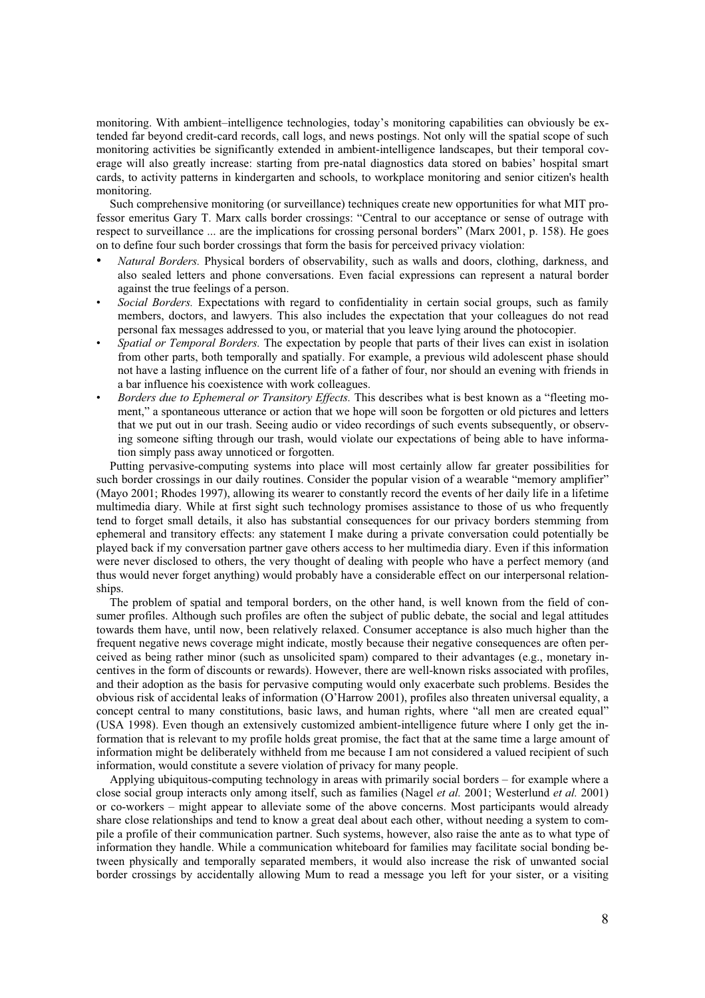monitoring. With ambient–intelligence technologies, today's monitoring capabilities can obviously be extended far beyond credit-card records, call logs, and news postings. Not only will the spatial scope of such monitoring activities be significantly extended in ambient-intelligence landscapes, but their temporal coverage will also greatly increase: starting from pre-natal diagnostics data stored on babies' hospital smart cards, to activity patterns in kindergarten and schools, to workplace monitoring and senior citizen's health monitoring.

Such comprehensive monitoring (or surveillance) techniques create new opportunities for what MIT professor emeritus Gary T. Marx calls border crossings: "Central to our acceptance or sense of outrage with respect to surveillance ... are the implications for crossing personal borders" (Marx 2001, p. 158). He goes on to define four such border crossings that form the basis for perceived privacy violation:

- *Natural Borders.* Physical borders of observability, such as walls and doors, clothing, darkness, and also sealed letters and phone conversations. Even facial expressions can represent a natural border against the true feelings of a person.
- *Social Borders.* Expectations with regard to confidentiality in certain social groups, such as family members, doctors, and lawyers. This also includes the expectation that your colleagues do not read personal fax messages addressed to you, or material that you leave lying around the photocopier.
- *Spatial or Temporal Borders.* The expectation by people that parts of their lives can exist in isolation from other parts, both temporally and spatially. For example, a previous wild adolescent phase should not have a lasting influence on the current life of a father of four, nor should an evening with friends in a bar influence his coexistence with work colleagues.
- *Borders due to Ephemeral or Transitory Effects.* This describes what is best known as a "fleeting moment," a spontaneous utterance or action that we hope will soon be forgotten or old pictures and letters that we put out in our trash. Seeing audio or video recordings of such events subsequently, or observing someone sifting through our trash, would violate our expectations of being able to have information simply pass away unnoticed or forgotten.

Putting pervasive-computing systems into place will most certainly allow far greater possibilities for such border crossings in our daily routines. Consider the popular vision of a wearable "memory amplifier" (Mayo 2001; Rhodes 1997), allowing its wearer to constantly record the events of her daily life in a lifetime multimedia diary. While at first sight such technology promises assistance to those of us who frequently tend to forget small details, it also has substantial consequences for our privacy borders stemming from ephemeral and transitory effects: any statement I make during a private conversation could potentially be played back if my conversation partner gave others access to her multimedia diary. Even if this information were never disclosed to others, the very thought of dealing with people who have a perfect memory (and thus would never forget anything) would probably have a considerable effect on our interpersonal relationships.

The problem of spatial and temporal borders, on the other hand, is well known from the field of consumer profiles. Although such profiles are often the subject of public debate, the social and legal attitudes towards them have, until now, been relatively relaxed. Consumer acceptance is also much higher than the frequent negative news coverage might indicate, mostly because their negative consequences are often perceived as being rather minor (such as unsolicited spam) compared to their advantages (e.g., monetary incentives in the form of discounts or rewards). However, there are well-known risks associated with profiles, and their adoption as the basis for pervasive computing would only exacerbate such problems. Besides the obvious risk of accidental leaks of information (O'Harrow 2001), profiles also threaten universal equality, a concept central to many constitutions, basic laws, and human rights, where "all men are created equal" (USA 1998). Even though an extensively customized ambient-intelligence future where I only get the information that is relevant to my profile holds great promise, the fact that at the same time a large amount of information might be deliberately withheld from me because I am not considered a valued recipient of such information, would constitute a severe violation of privacy for many people.

Applying ubiquitous-computing technology in areas with primarily social borders – for example where a close social group interacts only among itself, such as families (Nagel *et al.* 2001; Westerlund *et al.* 2001) or co-workers – might appear to alleviate some of the above concerns. Most participants would already share close relationships and tend to know a great deal about each other, without needing a system to compile a profile of their communication partner. Such systems, however, also raise the ante as to what type of information they handle. While a communication whiteboard for families may facilitate social bonding between physically and temporally separated members, it would also increase the risk of unwanted social border crossings by accidentally allowing Mum to read a message you left for your sister, or a visiting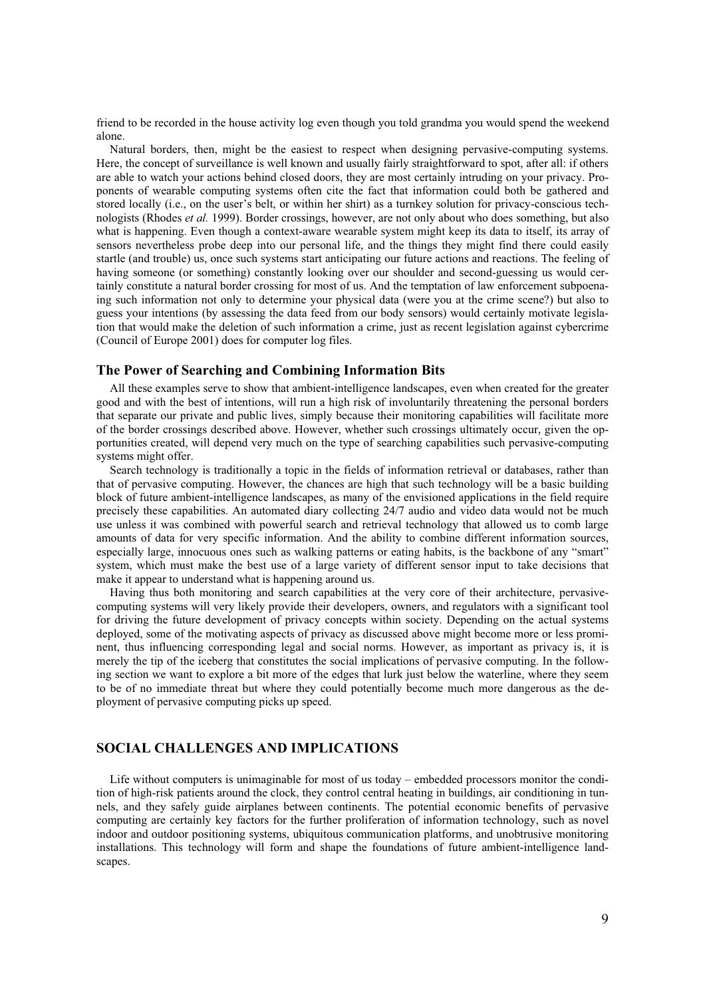friend to be recorded in the house activity log even though you told grandma you would spend the weekend alone.

Natural borders, then, might be the easiest to respect when designing pervasive-computing systems. Here, the concept of surveillance is well known and usually fairly straightforward to spot, after all: if others are able to watch your actions behind closed doors, they are most certainly intruding on your privacy. Proponents of wearable computing systems often cite the fact that information could both be gathered and stored locally (i.e., on the user's belt, or within her shirt) as a turnkey solution for privacy-conscious technologists (Rhodes *et al.* 1999). Border crossings, however, are not only about who does something, but also what is happening. Even though a context-aware wearable system might keep its data to itself, its array of sensors nevertheless probe deep into our personal life, and the things they might find there could easily startle (and trouble) us, once such systems start anticipating our future actions and reactions. The feeling of having someone (or something) constantly looking over our shoulder and second-guessing us would certainly constitute a natural border crossing for most of us. And the temptation of law enforcement subpoenaing such information not only to determine your physical data (were you at the crime scene?) but also to guess your intentions (by assessing the data feed from our body sensors) would certainly motivate legislation that would make the deletion of such information a crime, just as recent legislation against cybercrime (Council of Europe 2001) does for computer log files.

## **The Power of Searching and Combining Information Bits**

All these examples serve to show that ambient-intelligence landscapes, even when created for the greater good and with the best of intentions, will run a high risk of involuntarily threatening the personal borders that separate our private and public lives, simply because their monitoring capabilities will facilitate more of the border crossings described above. However, whether such crossings ultimately occur, given the opportunities created, will depend very much on the type of searching capabilities such pervasive-computing systems might offer.

Search technology is traditionally a topic in the fields of information retrieval or databases, rather than that of pervasive computing. However, the chances are high that such technology will be a basic building block of future ambient-intelligence landscapes, as many of the envisioned applications in the field require precisely these capabilities. An automated diary collecting 24/7 audio and video data would not be much use unless it was combined with powerful search and retrieval technology that allowed us to comb large amounts of data for very specific information. And the ability to combine different information sources, especially large, innocuous ones such as walking patterns or eating habits, is the backbone of any "smart" system, which must make the best use of a large variety of different sensor input to take decisions that make it appear to understand what is happening around us.

Having thus both monitoring and search capabilities at the very core of their architecture, pervasivecomputing systems will very likely provide their developers, owners, and regulators with a significant tool for driving the future development of privacy concepts within society. Depending on the actual systems deployed, some of the motivating aspects of privacy as discussed above might become more or less prominent, thus influencing corresponding legal and social norms. However, as important as privacy is, it is merely the tip of the iceberg that constitutes the social implications of pervasive computing. In the following section we want to explore a bit more of the edges that lurk just below the waterline, where they seem to be of no immediate threat but where they could potentially become much more dangerous as the deployment of pervasive computing picks up speed.

## **SOCIAL CHALLENGES AND IMPLICATIONS**

Life without computers is unimaginable for most of us today – embedded processors monitor the condition of high-risk patients around the clock, they control central heating in buildings, air conditioning in tunnels, and they safely guide airplanes between continents. The potential economic benefits of pervasive computing are certainly key factors for the further proliferation of information technology, such as novel indoor and outdoor positioning systems, ubiquitous communication platforms, and unobtrusive monitoring installations. This technology will form and shape the foundations of future ambient-intelligence landscapes.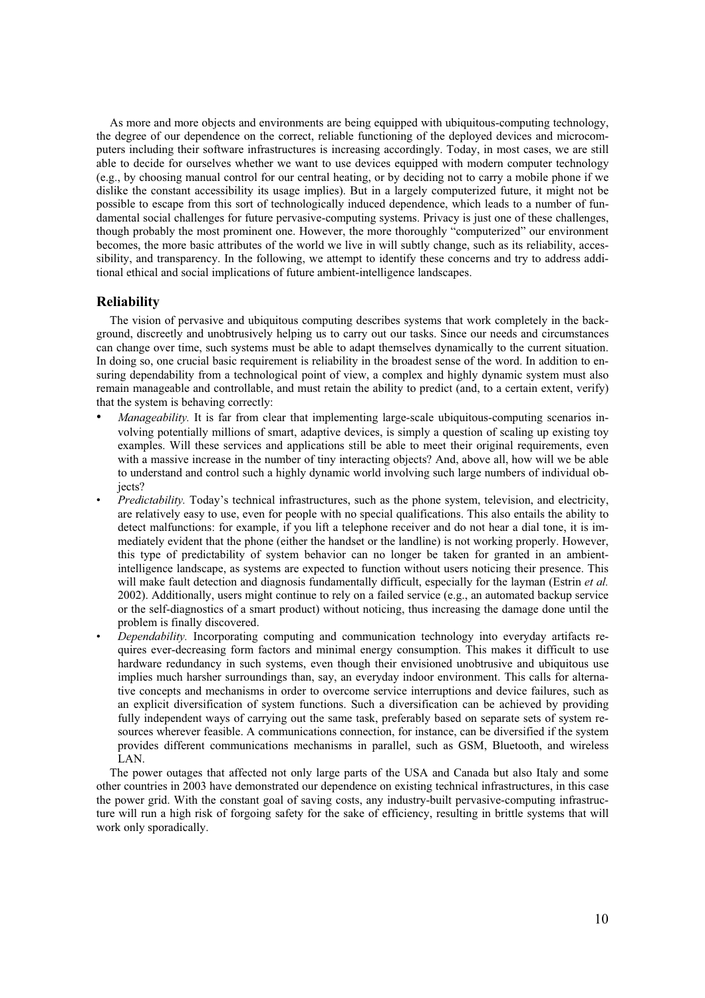As more and more objects and environments are being equipped with ubiquitous-computing technology, the degree of our dependence on the correct, reliable functioning of the deployed devices and microcomputers including their software infrastructures is increasing accordingly. Today, in most cases, we are still able to decide for ourselves whether we want to use devices equipped with modern computer technology (e.g., by choosing manual control for our central heating, or by deciding not to carry a mobile phone if we dislike the constant accessibility its usage implies). But in a largely computerized future, it might not be possible to escape from this sort of technologically induced dependence, which leads to a number of fundamental social challenges for future pervasive-computing systems. Privacy is just one of these challenges, though probably the most prominent one. However, the more thoroughly "computerized" our environment becomes, the more basic attributes of the world we live in will subtly change, such as its reliability, accessibility, and transparency. In the following, we attempt to identify these concerns and try to address additional ethical and social implications of future ambient-intelligence landscapes.

## **Reliability**

The vision of pervasive and ubiquitous computing describes systems that work completely in the background, discreetly and unobtrusively helping us to carry out our tasks. Since our needs and circumstances can change over time, such systems must be able to adapt themselves dynamically to the current situation. In doing so, one crucial basic requirement is reliability in the broadest sense of the word. In addition to ensuring dependability from a technological point of view, a complex and highly dynamic system must also remain manageable and controllable, and must retain the ability to predict (and, to a certain extent, verify) that the system is behaving correctly:

- *Manageability*. It is far from clear that implementing large-scale ubiquitous-computing scenarios involving potentially millions of smart, adaptive devices, is simply a question of scaling up existing toy examples. Will these services and applications still be able to meet their original requirements, even with a massive increase in the number of tiny interacting objects? And, above all, how will we be able to understand and control such a highly dynamic world involving such large numbers of individual objects?
- *Predictability*. Today's technical infrastructures, such as the phone system, television, and electricity, are relatively easy to use, even for people with no special qualifications. This also entails the ability to detect malfunctions: for example, if you lift a telephone receiver and do not hear a dial tone, it is immediately evident that the phone (either the handset or the landline) is not working properly. However, this type of predictability of system behavior can no longer be taken for granted in an ambientintelligence landscape, as systems are expected to function without users noticing their presence. This will make fault detection and diagnosis fundamentally difficult, especially for the layman (Estrin *et al.* 2002). Additionally, users might continue to rely on a failed service (e.g., an automated backup service or the self-diagnostics of a smart product) without noticing, thus increasing the damage done until the problem is finally discovered.
- *Dependability.* Incorporating computing and communication technology into everyday artifacts requires ever-decreasing form factors and minimal energy consumption. This makes it difficult to use hardware redundancy in such systems, even though their envisioned unobtrusive and ubiquitous use implies much harsher surroundings than, say, an everyday indoor environment. This calls for alternative concepts and mechanisms in order to overcome service interruptions and device failures, such as an explicit diversification of system functions. Such a diversification can be achieved by providing fully independent ways of carrying out the same task, preferably based on separate sets of system resources wherever feasible. A communications connection, for instance, can be diversified if the system provides different communications mechanisms in parallel, such as GSM, Bluetooth, and wireless LAN.

The power outages that affected not only large parts of the USA and Canada but also Italy and some other countries in 2003 have demonstrated our dependence on existing technical infrastructures, in this case the power grid. With the constant goal of saving costs, any industry-built pervasive-computing infrastructure will run a high risk of forgoing safety for the sake of efficiency, resulting in brittle systems that will work only sporadically.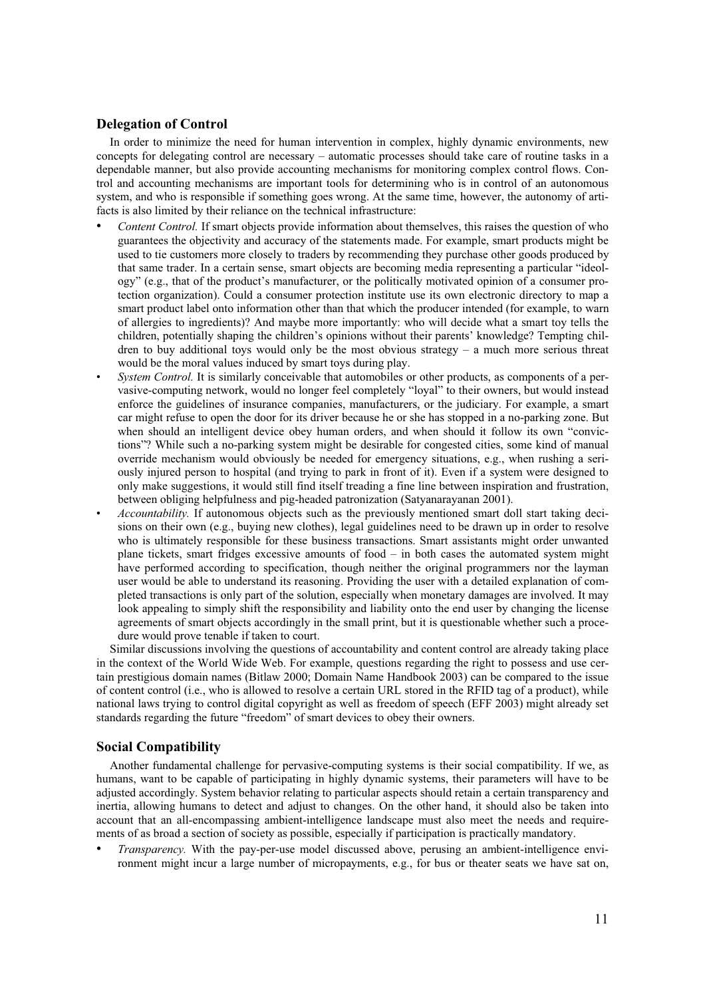## **Delegation of Control**

In order to minimize the need for human intervention in complex, highly dynamic environments, new concepts for delegating control are necessary – automatic processes should take care of routine tasks in a dependable manner, but also provide accounting mechanisms for monitoring complex control flows. Control and accounting mechanisms are important tools for determining who is in control of an autonomous system, and who is responsible if something goes wrong. At the same time, however, the autonomy of artifacts is also limited by their reliance on the technical infrastructure:

- *Content Control.* If smart objects provide information about themselves, this raises the question of who guarantees the objectivity and accuracy of the statements made. For example, smart products might be used to tie customers more closely to traders by recommending they purchase other goods produced by that same trader. In a certain sense, smart objects are becoming media representing a particular "ideology" (e.g., that of the product's manufacturer, or the politically motivated opinion of a consumer protection organization). Could a consumer protection institute use its own electronic directory to map a smart product label onto information other than that which the producer intended (for example, to warn of allergies to ingredients)? And maybe more importantly: who will decide what a smart toy tells the children, potentially shaping the children's opinions without their parents' knowledge? Tempting children to buy additional toys would only be the most obvious strategy  $-$  a much more serious threat would be the moral values induced by smart toys during play.
- *System Control.* It is similarly conceivable that automobiles or other products, as components of a pervasive-computing network, would no longer feel completely "loyal" to their owners, but would instead enforce the guidelines of insurance companies, manufacturers, or the judiciary. For example, a smart car might refuse to open the door for its driver because he or she has stopped in a no-parking zone. But when should an intelligent device obey human orders, and when should it follow its own "convictions"? While such a no-parking system might be desirable for congested cities, some kind of manual override mechanism would obviously be needed for emergency situations, e.g., when rushing a seriously injured person to hospital (and trying to park in front of it). Even if a system were designed to only make suggestions, it would still find itself treading a fine line between inspiration and frustration, between obliging helpfulness and pig-headed patronization (Satyanarayanan 2001).
- *Accountability.* If autonomous objects such as the previously mentioned smart doll start taking decisions on their own (e.g., buying new clothes), legal guidelines need to be drawn up in order to resolve who is ultimately responsible for these business transactions. Smart assistants might order unwanted plane tickets, smart fridges excessive amounts of food – in both cases the automated system might have performed according to specification, though neither the original programmers nor the layman user would be able to understand its reasoning. Providing the user with a detailed explanation of completed transactions is only part of the solution, especially when monetary damages are involved. It may look appealing to simply shift the responsibility and liability onto the end user by changing the license agreements of smart objects accordingly in the small print, but it is questionable whether such a procedure would prove tenable if taken to court.

Similar discussions involving the questions of accountability and content control are already taking place in the context of the World Wide Web. For example, questions regarding the right to possess and use certain prestigious domain names (Bitlaw 2000; Domain Name Handbook 2003) can be compared to the issue of content control (i.e., who is allowed to resolve a certain URL stored in the RFID tag of a product), while national laws trying to control digital copyright as well as freedom of speech (EFF 2003) might already set standards regarding the future "freedom" of smart devices to obey their owners.

#### **Social Compatibility**

Another fundamental challenge for pervasive-computing systems is their social compatibility. If we, as humans, want to be capable of participating in highly dynamic systems, their parameters will have to be adjusted accordingly. System behavior relating to particular aspects should retain a certain transparency and inertia, allowing humans to detect and adjust to changes. On the other hand, it should also be taken into account that an all-encompassing ambient-intelligence landscape must also meet the needs and requirements of as broad a section of society as possible, especially if participation is practically mandatory.

*Transparency*. With the pay-per-use model discussed above, perusing an ambient-intelligence environment might incur a large number of micropayments, e.g., for bus or theater seats we have sat on,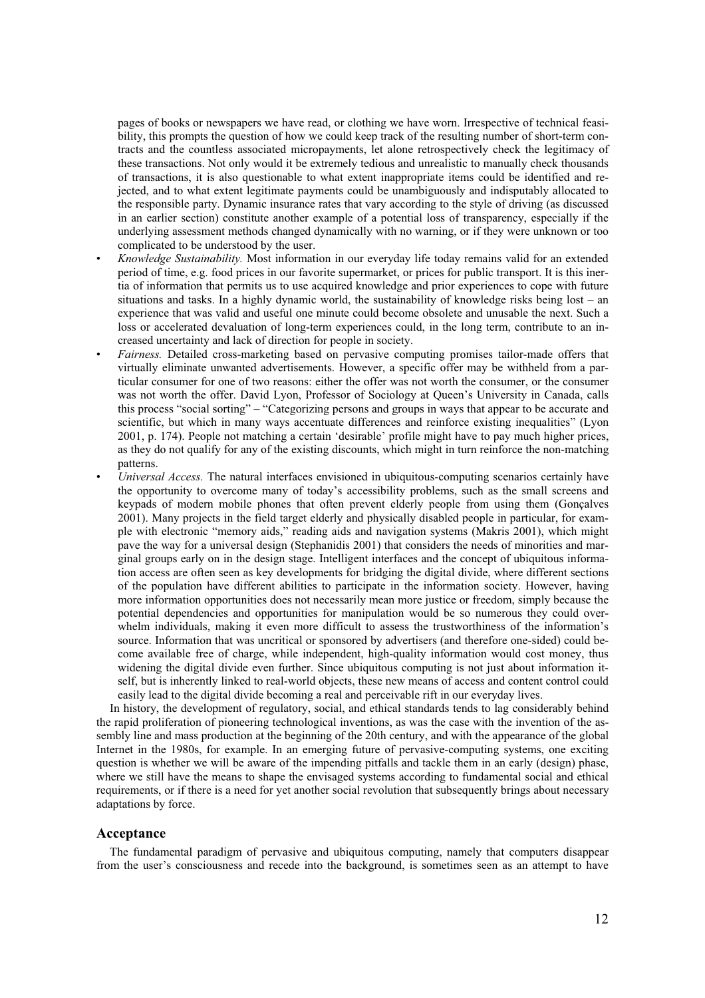pages of books or newspapers we have read, or clothing we have worn. Irrespective of technical feasibility, this prompts the question of how we could keep track of the resulting number of short-term contracts and the countless associated micropayments, let alone retrospectively check the legitimacy of these transactions. Not only would it be extremely tedious and unrealistic to manually check thousands of transactions, it is also questionable to what extent inappropriate items could be identified and rejected, and to what extent legitimate payments could be unambiguously and indisputably allocated to the responsible party. Dynamic insurance rates that vary according to the style of driving (as discussed in an earlier section) constitute another example of a potential loss of transparency, especially if the underlying assessment methods changed dynamically with no warning, or if they were unknown or too complicated to be understood by the user.

- *Knowledge Sustainability.* Most information in our everyday life today remains valid for an extended period of time, e.g. food prices in our favorite supermarket, or prices for public transport. It is this inertia of information that permits us to use acquired knowledge and prior experiences to cope with future situations and tasks. In a highly dynamic world, the sustainability of knowledge risks being lost – an experience that was valid and useful one minute could become obsolete and unusable the next. Such a loss or accelerated devaluation of long-term experiences could, in the long term, contribute to an increased uncertainty and lack of direction for people in society.
- *Fairness.* Detailed cross-marketing based on pervasive computing promises tailor-made offers that virtually eliminate unwanted advertisements. However, a specific offer may be withheld from a particular consumer for one of two reasons: either the offer was not worth the consumer, or the consumer was not worth the offer. David Lyon, Professor of Sociology at Queen's University in Canada, calls this process "social sorting" – "Categorizing persons and groups in ways that appear to be accurate and scientific, but which in many ways accentuate differences and reinforce existing inequalities" (Lyon 2001, p. 174). People not matching a certain 'desirable' profile might have to pay much higher prices, as they do not qualify for any of the existing discounts, which might in turn reinforce the non-matching patterns.
- *Universal Access.* The natural interfaces envisioned in ubiquitous-computing scenarios certainly have the opportunity to overcome many of today's accessibility problems, such as the small screens and keypads of modern mobile phones that often prevent elderly people from using them (Gonçalves 2001). Many projects in the field target elderly and physically disabled people in particular, for example with electronic "memory aids," reading aids and navigation systems (Makris 2001), which might pave the way for a universal design (Stephanidis 2001) that considers the needs of minorities and marginal groups early on in the design stage. Intelligent interfaces and the concept of ubiquitous information access are often seen as key developments for bridging the digital divide, where different sections of the population have different abilities to participate in the information society. However, having more information opportunities does not necessarily mean more justice or freedom, simply because the potential dependencies and opportunities for manipulation would be so numerous they could overwhelm individuals, making it even more difficult to assess the trustworthiness of the information's source. Information that was uncritical or sponsored by advertisers (and therefore one-sided) could become available free of charge, while independent, high-quality information would cost money, thus widening the digital divide even further. Since ubiquitous computing is not just about information itself, but is inherently linked to real-world objects, these new means of access and content control could easily lead to the digital divide becoming a real and perceivable rift in our everyday lives.

In history, the development of regulatory, social, and ethical standards tends to lag considerably behind the rapid proliferation of pioneering technological inventions, as was the case with the invention of the assembly line and mass production at the beginning of the 20th century, and with the appearance of the global Internet in the 1980s, for example. In an emerging future of pervasive-computing systems, one exciting question is whether we will be aware of the impending pitfalls and tackle them in an early (design) phase, where we still have the means to shape the envisaged systems according to fundamental social and ethical requirements, or if there is a need for yet another social revolution that subsequently brings about necessary adaptations by force.

#### **Acceptance**

The fundamental paradigm of pervasive and ubiquitous computing, namely that computers disappear from the user's consciousness and recede into the background, is sometimes seen as an attempt to have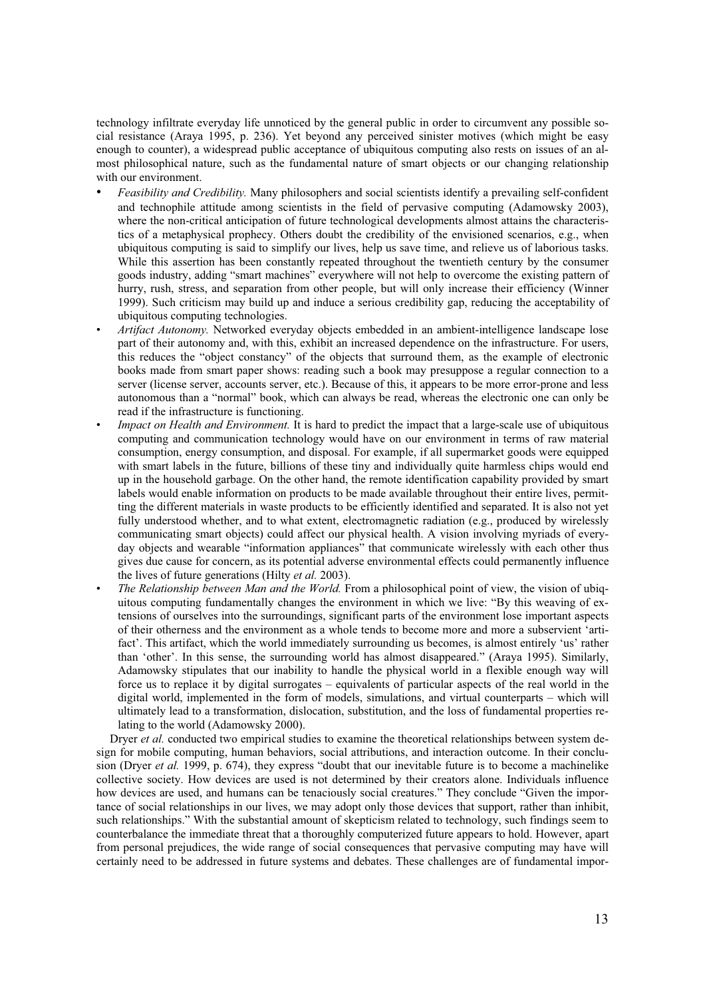technology infiltrate everyday life unnoticed by the general public in order to circumvent any possible social resistance (Araya 1995, p. 236). Yet beyond any perceived sinister motives (which might be easy enough to counter), a widespread public acceptance of ubiquitous computing also rests on issues of an almost philosophical nature, such as the fundamental nature of smart objects or our changing relationship with our environment.

- *Feasibility and Credibility.* Many philosophers and social scientists identify a prevailing self-confident and technophile attitude among scientists in the field of pervasive computing (Adamowsky 2003), where the non-critical anticipation of future technological developments almost attains the characteristics of a metaphysical prophecy. Others doubt the credibility of the envisioned scenarios, e.g., when ubiquitous computing is said to simplify our lives, help us save time, and relieve us of laborious tasks. While this assertion has been constantly repeated throughout the twentieth century by the consumer goods industry, adding "smart machines" everywhere will not help to overcome the existing pattern of hurry, rush, stress, and separation from other people, but will only increase their efficiency (Winner 1999). Such criticism may build up and induce a serious credibility gap, reducing the acceptability of ubiquitous computing technologies.
- *Artifact Autonomy.* Networked everyday objects embedded in an ambient-intelligence landscape lose part of their autonomy and, with this, exhibit an increased dependence on the infrastructure. For users, this reduces the "object constancy" of the objects that surround them, as the example of electronic books made from smart paper shows: reading such a book may presuppose a regular connection to a server (license server, accounts server, etc.). Because of this, it appears to be more error-prone and less autonomous than a "normal" book, which can always be read, whereas the electronic one can only be read if the infrastructure is functioning.
- *Impact on Health and Environment*. It is hard to predict the impact that a large-scale use of ubiquitous computing and communication technology would have on our environment in terms of raw material consumption, energy consumption, and disposal. For example, if all supermarket goods were equipped with smart labels in the future, billions of these tiny and individually quite harmless chips would end up in the household garbage. On the other hand, the remote identification capability provided by smart labels would enable information on products to be made available throughout their entire lives, permitting the different materials in waste products to be efficiently identified and separated. It is also not yet fully understood whether, and to what extent, electromagnetic radiation (e.g., produced by wirelessly communicating smart objects) could affect our physical health. A vision involving myriads of everyday objects and wearable "information appliances" that communicate wirelessly with each other thus gives due cause for concern, as its potential adverse environmental effects could permanently influence the lives of future generations (Hilty *et al.* 2003).
- *The Relationship between Man and the World.* From a philosophical point of view, the vision of ubiquitous computing fundamentally changes the environment in which we live: "By this weaving of extensions of ourselves into the surroundings, significant parts of the environment lose important aspects of their otherness and the environment as a whole tends to become more and more a subservient 'artifact'. This artifact, which the world immediately surrounding us becomes, is almost entirely 'us' rather than 'other'. In this sense, the surrounding world has almost disappeared." (Araya 1995). Similarly, Adamowsky stipulates that our inability to handle the physical world in a flexible enough way will force us to replace it by digital surrogates – equivalents of particular aspects of the real world in the digital world, implemented in the form of models, simulations, and virtual counterparts – which will ultimately lead to a transformation, dislocation, substitution, and the loss of fundamental properties relating to the world (Adamowsky 2000).

Dryer *et al.* conducted two empirical studies to examine the theoretical relationships between system design for mobile computing, human behaviors, social attributions, and interaction outcome. In their conclusion (Dryer *et al.* 1999, p. 674), they express "doubt that our inevitable future is to become a machinelike collective society. How devices are used is not determined by their creators alone. Individuals influence how devices are used, and humans can be tenaciously social creatures." They conclude "Given the importance of social relationships in our lives, we may adopt only those devices that support, rather than inhibit, such relationships." With the substantial amount of skepticism related to technology, such findings seem to counterbalance the immediate threat that a thoroughly computerized future appears to hold. However, apart from personal prejudices, the wide range of social consequences that pervasive computing may have will certainly need to be addressed in future systems and debates. These challenges are of fundamental impor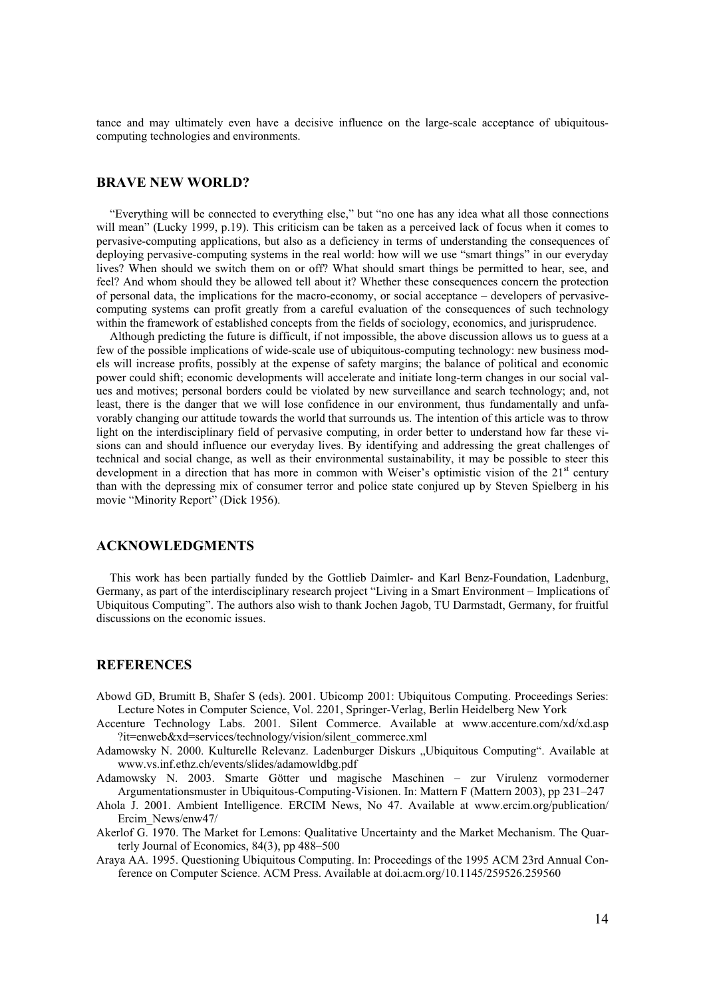tance and may ultimately even have a decisive influence on the large-scale acceptance of ubiquitouscomputing technologies and environments.

## **BRAVE NEW WORLD?**

"Everything will be connected to everything else," but "no one has any idea what all those connections will mean" (Lucky 1999, p.19). This criticism can be taken as a perceived lack of focus when it comes to pervasive-computing applications, but also as a deficiency in terms of understanding the consequences of deploying pervasive-computing systems in the real world: how will we use "smart things" in our everyday lives? When should we switch them on or off? What should smart things be permitted to hear, see, and feel? And whom should they be allowed tell about it? Whether these consequences concern the protection of personal data, the implications for the macro-economy, or social acceptance – developers of pervasivecomputing systems can profit greatly from a careful evaluation of the consequences of such technology within the framework of established concepts from the fields of sociology, economics, and jurisprudence.

Although predicting the future is difficult, if not impossible, the above discussion allows us to guess at a few of the possible implications of wide-scale use of ubiquitous-computing technology: new business models will increase profits, possibly at the expense of safety margins; the balance of political and economic power could shift; economic developments will accelerate and initiate long-term changes in our social values and motives; personal borders could be violated by new surveillance and search technology; and, not least, there is the danger that we will lose confidence in our environment, thus fundamentally and unfavorably changing our attitude towards the world that surrounds us. The intention of this article was to throw light on the interdisciplinary field of pervasive computing, in order better to understand how far these visions can and should influence our everyday lives. By identifying and addressing the great challenges of technical and social change, as well as their environmental sustainability, it may be possible to steer this development in a direction that has more in common with Weiser's optimistic vision of the  $21<sup>st</sup>$  century than with the depressing mix of consumer terror and police state conjured up by Steven Spielberg in his movie "Minority Report" (Dick 1956).

#### **ACKNOWLEDGMENTS**

This work has been partially funded by the Gottlieb Daimler- and Karl Benz-Foundation, Ladenburg, Germany, as part of the interdisciplinary research project "Living in a Smart Environment – Implications of Ubiquitous Computing". The authors also wish to thank Jochen Jagob, TU Darmstadt, Germany, for fruitful discussions on the economic issues.

### **REFERENCES**

- Abowd GD, Brumitt B, Shafer S (eds). 2001. Ubicomp 2001: Ubiquitous Computing. Proceedings Series: Lecture Notes in Computer Science, Vol. 2201, Springer-Verlag, Berlin Heidelberg New York
- Accenture Technology Labs. 2001. Silent Commerce. Available at www.accenture.com/xd/xd.asp ?it=enweb&xd=services/technology/vision/silent\_commerce.xml
- Adamowsky N. 2000. Kulturelle Relevanz. Ladenburger Diskurs "Ubiquitous Computing". Available at www.vs.inf.ethz.ch/events/slides/adamowldbg.pdf
- Adamowsky N. 2003. Smarte Götter und magische Maschinen zur Virulenz vormoderner Argumentationsmuster in Ubiquitous-Computing-Visionen. In: Mattern F (Mattern 2003), pp 231–247
- Ahola J. 2001. Ambient Intelligence. ERCIM News, No 47. Available at www.ercim.org/publication/ Ercim\_News/enw47/
- Akerlof G. 1970. The Market for Lemons: Qualitative Uncertainty and the Market Mechanism. The Quarterly Journal of Economics, 84(3), pp 488–500
- Araya AA. 1995. Questioning Ubiquitous Computing. In: Proceedings of the 1995 ACM 23rd Annual Conference on Computer Science. ACM Press. Available at doi.acm.org/10.1145/259526.259560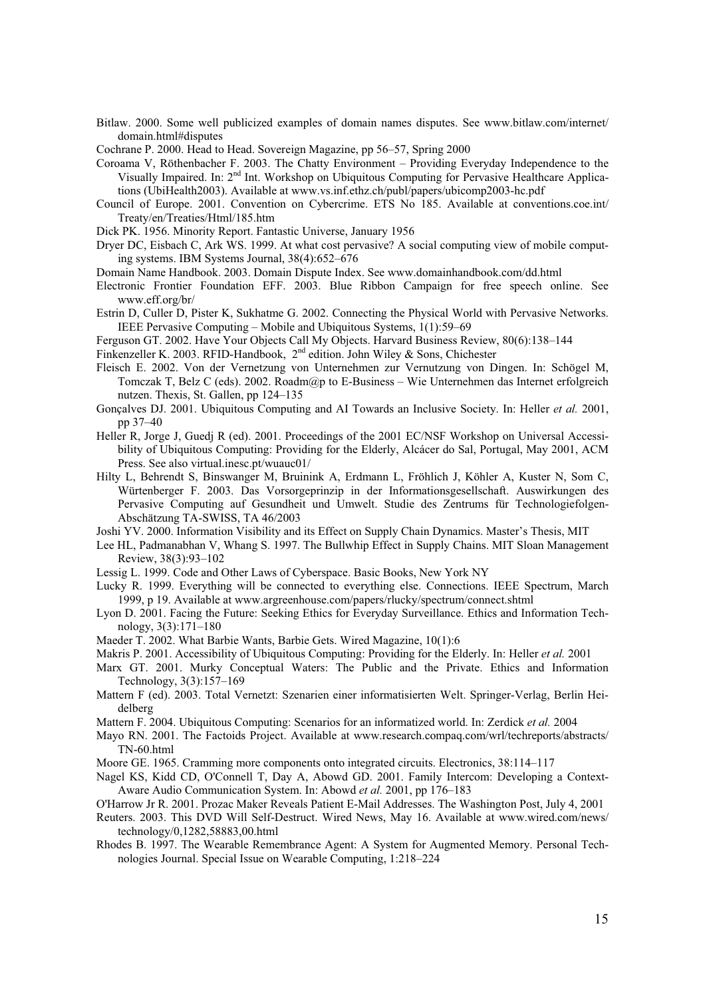Bitlaw. 2000. Some well publicized examples of domain names disputes. See www.bitlaw.com/internet/ domain.html#disputes

Cochrane P. 2000. Head to Head. Sovereign Magazine, pp 56–57, Spring 2000

- Coroama V, Röthenbacher F. 2003. The Chatty Environment Providing Everyday Independence to the Visually Impaired. In: 2nd Int. Workshop on Ubiquitous Computing for Pervasive Healthcare Applications (UbiHealth2003). Available at www.vs.inf.ethz.ch/publ/papers/ubicomp2003-hc.pdf
- Council of Europe. 2001. Convention on Cybercrime. ETS No 185. Available at conventions.coe.int/ Treaty/en/Treaties/Html/185.htm
- Dick PK. 1956. Minority Report. Fantastic Universe, January 1956
- Dryer DC, Eisbach C, Ark WS. 1999. At what cost pervasive? A social computing view of mobile computing systems. IBM Systems Journal, 38(4):652–676
- Domain Name Handbook. 2003. Domain Dispute Index. See www.domainhandbook.com/dd.html
- Electronic Frontier Foundation EFF. 2003. Blue Ribbon Campaign for free speech online. See www.eff.org/br/
- Estrin D, Culler D, Pister K, Sukhatme G. 2002. Connecting the Physical World with Pervasive Networks. IEEE Pervasive Computing – Mobile and Ubiquitous Systems, 1(1):59–69
- Ferguson GT. 2002. Have Your Objects Call My Objects. Harvard Business Review, 80(6):138–144

Finkenzeller K. 2003. RFID-Handbook, 2<sup>nd</sup> edition. John Wiley & Sons, Chichester

- Fleisch E. 2002. Von der Vernetzung von Unternehmen zur Vernutzung von Dingen. In: Schögel M, Tomczak T, Belz C (eds). 2002. Roadm@p to E-Business – Wie Unternehmen das Internet erfolgreich nutzen. Thexis, St. Gallen, pp 124–135
- Gonçalves DJ. 2001. Ubiquitous Computing and AI Towards an Inclusive Society. In: Heller *et al.* 2001, pp 37–40
- Heller R, Jorge J, Guedj R (ed). 2001. Proceedings of the 2001 EC/NSF Workshop on Universal Accessibility of Ubiquitous Computing: Providing for the Elderly, Alcácer do Sal, Portugal, May 2001, ACM Press. See also virtual.inesc.pt/wuauc01/
- Hilty L, Behrendt S, Binswanger M, Bruinink A, Erdmann L, Fröhlich J, Köhler A, Kuster N, Som C, Würtenberger F. 2003. Das Vorsorgeprinzip in der Informationsgesellschaft. Auswirkungen des Pervasive Computing auf Gesundheit und Umwelt. Studie des Zentrums für Technologiefolgen-Abschätzung TA-SWISS, TA 46/2003
- Joshi YV. 2000. Information Visibility and its Effect on Supply Chain Dynamics. Master's Thesis, MIT
- Lee HL, Padmanabhan V, Whang S. 1997. The Bullwhip Effect in Supply Chains. MIT Sloan Management Review, 38(3):93–102
- Lessig L. 1999. Code and Other Laws of Cyberspace. Basic Books, New York NY
- Lucky R. 1999. Everything will be connected to everything else. Connections. IEEE Spectrum, March 1999, p 19. Available at www.argreenhouse.com/papers/rlucky/spectrum/connect.shtml
- Lyon D. 2001. Facing the Future: Seeking Ethics for Everyday Surveillance. Ethics and Information Technology, 3(3):171–180
- Maeder T. 2002. What Barbie Wants, Barbie Gets. Wired Magazine, 10(1):6
- Makris P. 2001. Accessibility of Ubiquitous Computing: Providing for the Elderly. In: Heller *et al.* 2001
- Marx GT. 2001. Murky Conceptual Waters: The Public and the Private. Ethics and Information Technology, 3(3):157–169
- Mattern F (ed). 2003. Total Vernetzt: Szenarien einer informatisierten Welt. Springer-Verlag, Berlin Heidelberg
- Mattern F. 2004. Ubiquitous Computing: Scenarios for an informatized world. In: Zerdick *et al.* 2004
- Mayo RN. 2001. The Factoids Project. Available at www.research.compaq.com/wrl/techreports/abstracts/ TN-60.html
- Moore GE. 1965. Cramming more components onto integrated circuits. Electronics, 38:114–117
- Nagel KS, Kidd CD, O'Connell T, Day A, Abowd GD. 2001. Family Intercom: Developing a Context-Aware Audio Communication System. In: Abowd *et al.* 2001, pp 176–183
- O'Harrow Jr R. 2001. Prozac Maker Reveals Patient E-Mail Addresses. The Washington Post, July 4, 2001
- Reuters. 2003. This DVD Will Self-Destruct. Wired News, May 16. Available at www.wired.com/news/ technology/0,1282,58883,00.html
- Rhodes B. 1997. The Wearable Remembrance Agent: A System for Augmented Memory. Personal Technologies Journal. Special Issue on Wearable Computing, 1:218–224